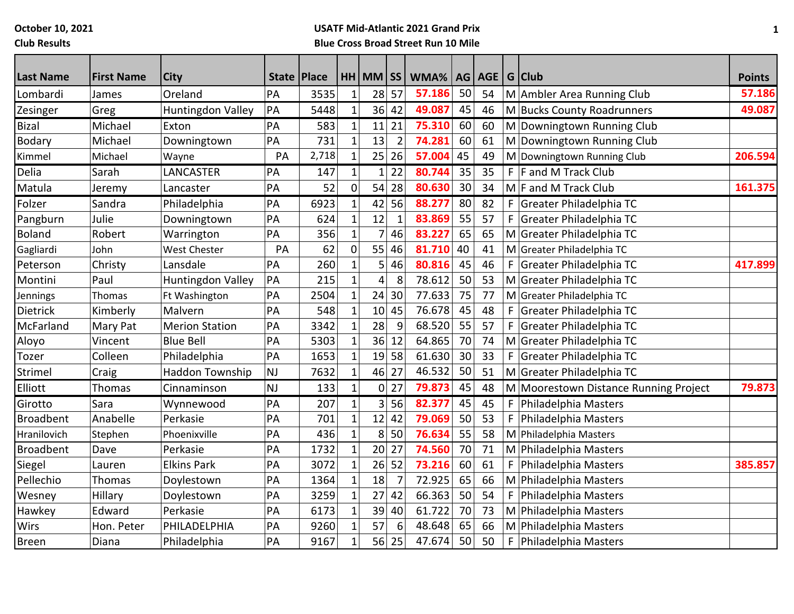**October 10, 2021**

**Club Results**

# **USATF Mid-Atlantic 2021 Grand Prix Blue Cross Broad Street Run 10 Mile**

| <b>Last Name</b> | <b>First Name</b> | City                   | State   Place |       |              | $HH$ MM $\overline{\hspace{-.08cm}S}$ |                | WMA%   |    | AG AGE |             | G Club                                | <b>Points</b> |
|------------------|-------------------|------------------------|---------------|-------|--------------|---------------------------------------|----------------|--------|----|--------|-------------|---------------------------------------|---------------|
| Lombardi         | James             | Oreland                | PA            | 3535  | $\mathbf{1}$ | 28                                    | 57             | 57.186 | 50 | 54     |             | M Ambler Area Running Club            | 57.186        |
| Zesinger         | Greg              | Huntingdon Valley      | PA            | 5448  | $\mathbf{1}$ |                                       | 36 42          | 49.087 | 45 | 46     |             | M Bucks County Roadrunners            | 49.087        |
| <b>Bizal</b>     | Michael           | Exton                  | PA            | 583   | $\mathbf 1$  | 11                                    | 21             | 75.310 | 60 | 60     |             | M Downingtown Running Club            |               |
| <b>Bodary</b>    | Michael           | Downingtown            | PA            | 731   | $\mathbf{1}$ | 13                                    | $\overline{2}$ | 74.281 | 60 | 61     |             | M Downingtown Running Club            |               |
| Kimmel           | Michael           | Wayne                  | PA            | 2,718 | $\mathbf{1}$ | 25                                    | 26             | 57.004 | 45 | 49     |             | M Downingtown Running Club            | 206.594       |
| Delia            | Sarah             | LANCASTER              | PA            | 147   | $\mathbf{1}$ |                                       | 22             | 80.744 | 35 | 35     |             | $F$ F and M Track Club                |               |
| Matula           | Jeremy            | Lancaster              | PA            | 52    | $\mathbf 0$  | 54                                    | 28             | 80.630 | 30 | 34     |             | M F and M Track Club                  | 161.375       |
| Folzer           | Sandra            | Philadelphia           | PA            | 6923  | $\mathbf{1}$ | 42                                    | 56             | 88.277 | 80 | 82     | F           | Greater Philadelphia TC               |               |
| Pangburn         | Julie             | Downingtown            | PA            | 624   | $\mathbf 1$  | 12                                    | $\mathbf{1}$   | 83.869 | 55 | 57     | F           | Greater Philadelphia TC               |               |
| <b>Boland</b>    | Robert            | Warrington             | PA            | 356   | $\mathbf{1}$ | 7                                     | 46             | 83.227 | 65 | 65     |             | M Greater Philadelphia TC             |               |
| Gagliardi        | John              | <b>West Chester</b>    | PA            | 62    | 0            | 55                                    | 46             | 81.710 | 40 | 41     |             | M Greater Philadelphia TC             |               |
| Peterson         | Christy           | Lansdale               | PA            | 260   | $\mathbf 1$  | 5                                     | 46             | 80.816 | 45 | 46     | F           | Greater Philadelphia TC               | 417.899       |
| Montini          | Paul              | Huntingdon Valley      | PA            | 215   | $\mathbf{1}$ | 4                                     | 8              | 78.612 | 50 | 53     | М           | Greater Philadelphia TC               |               |
| <b>Jennings</b>  | Thomas            | Ft Washington          | PA            | 2504  | 1            | 24                                    | 30             | 77.633 | 75 | 77     | M           | Greater Philadelphia TC               |               |
| Dietrick         | Kimberly          | Malvern                | PA            | 548   | $\mathbf{1}$ | 10                                    | 45             | 76.678 | 45 | 48     | $\mathsf F$ | Greater Philadelphia TC               |               |
| McFarland        | Mary Pat          | <b>Merion Station</b>  | PA            | 3342  | $\mathbf{1}$ | 28                                    | 9              | 68.520 | 55 | 57     | F           | Greater Philadelphia TC               |               |
| Aloyo            | Vincent           | <b>Blue Bell</b>       | PA            | 5303  | $\mathbf{1}$ | 36                                    | 12             | 64.865 | 70 | 74     |             | M Greater Philadelphia TC             |               |
| Tozer            | Colleen           | Philadelphia           | PA            | 1653  | $\mathbf{1}$ | 19                                    | 58             | 61.630 | 30 | 33     | F           | Greater Philadelphia TC               |               |
| Strimel          | Craig             | <b>Haddon Township</b> | <b>NJ</b>     | 7632  | $\mathbf{1}$ | 46                                    | 27             | 46.532 | 50 | 51     |             | M Greater Philadelphia TC             |               |
| Elliott          | Thomas            | Cinnaminson            | <b>NJ</b>     | 133   | $\mathbf{1}$ | 0                                     | 27             | 79.873 | 45 | 48     |             | M Moorestown Distance Running Project | 79.873        |
| Girotto          | Sara              | Wynnewood              | PA            | 207   | $\mathbf{1}$ | 3 <sup>1</sup>                        | 56             | 82.377 | 45 | 45     | F           | Philadelphia Masters                  |               |
| <b>Broadbent</b> | Anabelle          | Perkasie               | PA            | 701   | $\mathbf{1}$ | 12                                    | 42             | 79.069 | 50 | 53     | F           | Philadelphia Masters                  |               |
| Hranilovich      | Stephen           | Phoenixville           | PA            | 436   | $\mathbf{1}$ | 8                                     | 50             | 76.634 | 55 | 58     |             | M Philadelphia Masters                |               |
| <b>Broadbent</b> | Dave              | Perkasie               | PA            | 1732  | $\mathbf{1}$ | 20                                    | 27             | 74.560 | 70 | 71     |             | M Philadelphia Masters                |               |
| Siegel           | Lauren            | <b>Elkins Park</b>     | PA            | 3072  | $\mathbf{1}$ | 26                                    | 52             | 73.216 | 60 | 61     | F           | Philadelphia Masters                  | 385.857       |
| Pellechio        | Thomas            | Doylestown             | PA            | 1364  | $\mathbf{1}$ | 18                                    |                | 72.925 | 65 | 66     |             | M Philadelphia Masters                |               |
| Wesney           | Hillary           | Doylestown             | PA            | 3259  | $\mathbf 1$  | 27                                    | 42             | 66.363 | 50 | 54     | $\mathsf F$ | Philadelphia Masters                  |               |
| Hawkey           | Edward            | Perkasie               | PA            | 6173  | $\mathbf{1}$ | 39                                    | 40             | 61.722 | 70 | 73     |             | M Philadelphia Masters                |               |
| <b>Wirs</b>      | Hon. Peter        | PHILADELPHIA           | PA            | 9260  |              | 57                                    | 6              | 48.648 | 65 | 66     |             | M Philadelphia Masters                |               |
| <b>Breen</b>     | Diana             | Philadelphia           | PA            | 9167  | $\mathbf{1}$ | 56                                    | 25             | 47.674 | 50 | 50     | F           | Philadelphia Masters                  |               |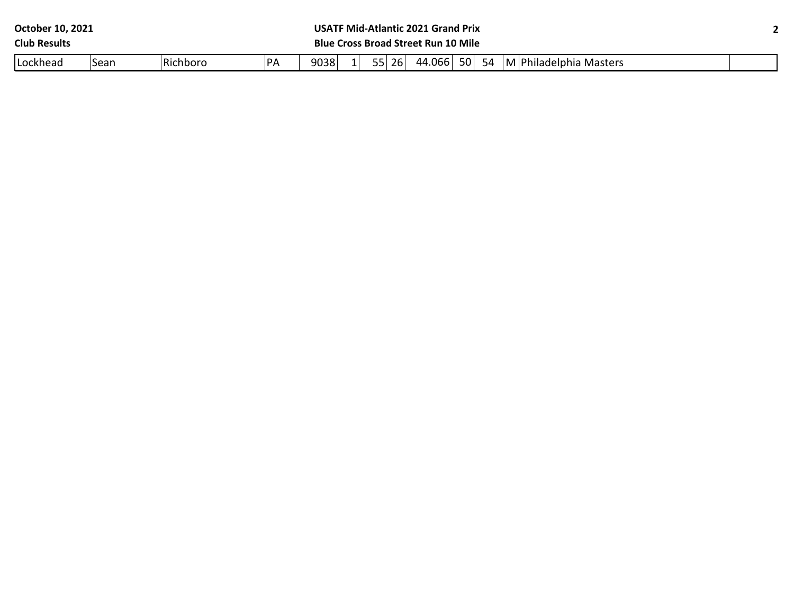| October 10, 2021    |      |          |           | <b>USATF Mid-Atlantic 2021 Grand Prix</b>                  |  |  |  |  |  |  |  |  |
|---------------------|------|----------|-----------|------------------------------------------------------------|--|--|--|--|--|--|--|--|
| <b>Club Results</b> |      |          |           | <b>Blue Cross Broad Street Run 10 Mile</b>                 |  |  |  |  |  |  |  |  |
| Lockhead            | Sean | Richboro | <b>PA</b> | 44.066 50<br>9038<br>55 26<br>54<br>M Philadelphia Masters |  |  |  |  |  |  |  |  |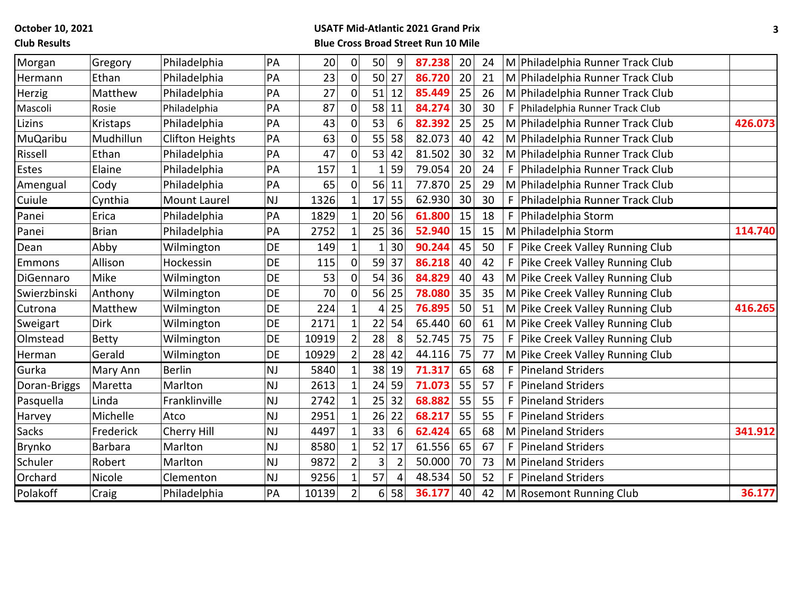**October 10, 2021**

## **Club Results**

### **USATF Mid-Atlantic 2021 Grand Prix Blue Cross Broad Street Run 10 Mile**

| Morgan          | Gregory        | Philadelphia           | PA        | 20    | $\boldsymbol{0}$    | 50             | 9              | 87.238 | 20 | 24 |    | M Philadelphia Runner Track Club   |         |
|-----------------|----------------|------------------------|-----------|-------|---------------------|----------------|----------------|--------|----|----|----|------------------------------------|---------|
| Hermann         | Ethan          | Philadelphia           | PA        | 23    | $\overline{0}$      | 50             | 27             | 86.720 | 20 | 21 |    | M Philadelphia Runner Track Club   |         |
| Herzig          | Matthew        | Philadelphia           | PA        | 27    | $\overline{0}$      | 51             | 12             | 85.449 | 25 | 26 |    | M Philadelphia Runner Track Club   |         |
| Mascoli         | Rosie          | Philadelphia           | PA        | 87    | 0                   | 58             | 11             | 84.274 | 30 | 30 | F. | Philadelphia Runner Track Club     |         |
| Lizins          | Kristaps       | Philadelphia           | PA        | 43    | $\mathbf 0$         | 53             | 6              | 82.392 | 25 | 25 |    | M Philadelphia Runner Track Club   | 426.073 |
| <b>MuQaribu</b> | Mudhillun      | <b>Clifton Heights</b> | PA        | 63    | 0                   | 55             | 58             | 82.073 | 40 | 42 |    | M Philadelphia Runner Track Club   |         |
| Rissell         | Ethan          | Philadelphia           | PA        | 47    | $\mathsf{O}\xspace$ | 53             | 42             | 81.502 | 30 | 32 |    | M Philadelphia Runner Track Club   |         |
| Estes           | Elaine         | Philadelphia           | PA        | 157   | $\mathbf{1}$        |                | 59             | 79.054 | 20 | 24 |    | F Philadelphia Runner Track Club   |         |
| Amengual        | Cody           | Philadelphia           | PA        | 65    | $\mathsf{O}\xspace$ | 56             | 11             | 77.870 | 25 | 29 |    | M Philadelphia Runner Track Club   |         |
| Cuiule          | Cynthia        | <b>Mount Laurel</b>    | <b>NJ</b> | 1326  | $\mathbf{1}$        | 17             | 55             | 62.930 | 30 | 30 |    | F   Philadelphia Runner Track Club |         |
| Panei           | Erica          | Philadelphia           | PA        | 1829  | $\mathbf{1}$        | 20             | 56             | 61.800 | 15 | 18 |    | F   Philadelphia Storm             |         |
| Panei           | <b>Brian</b>   | Philadelphia           | PA        | 2752  | $\mathbf{1}$        | 25             | 36             | 52.940 | 15 | 15 |    | M Philadelphia Storm               | 114.740 |
| Dean            | Abby           | Wilmington             | DE        | 149   | $\mathbf{1}$        |                | 30             | 90.244 | 45 | 50 |    | F   Pike Creek Valley Running Club |         |
| Emmons          | Allison        | Hockessin              | DE        | 115   | $\overline{0}$      | 59             | 37             | 86.218 | 40 | 42 |    | F Pike Creek Valley Running Club   |         |
| DiGennaro       | Mike           | Wilmington             | DE        | 53    | $\overline{0}$      | 54             | 36             | 84.829 | 40 | 43 |    | M Pike Creek Valley Running Club   |         |
| Swierzbinski    | Anthony        | Wilmington             | DE        | 70    | $\mathsf{O}\xspace$ | 56             | 25             | 78.080 | 35 | 35 |    | M Pike Creek Valley Running Club   |         |
| Cutrona         | Matthew        | Wilmington             | DE        | 224   | $\mathbf 1$         | 4              | 25             | 76.895 | 50 | 51 |    | M Pike Creek Valley Running Club   | 416.265 |
| Sweigart        | <b>Dirk</b>    | Wilmington             | DE        | 2171  |                     | 22             | 54             | 65.440 | 60 | 61 |    | M Pike Creek Valley Running Club   |         |
| Olmstead        | <b>Betty</b>   | Wilmington             | DE        | 10919 | $\overline{2}$      | 28             | 8              | 52.745 | 75 | 75 |    | F   Pike Creek Valley Running Club |         |
| Herman          | Gerald         | Wilmington             | DE        | 10929 | $\overline{2}$      | 28             | 42             | 44.116 | 75 | 77 |    | M Pike Creek Valley Running Club   |         |
| Gurka           | Mary Ann       | <b>Berlin</b>          | <b>NJ</b> | 5840  | $\mathbf{1}$        | 38             | 19             | 71.317 | 65 | 68 |    | F   Pineland Striders              |         |
| Doran-Briggs    | Maretta        | Marlton                | <b>NJ</b> | 2613  |                     | 24             | 59             | 71.073 | 55 | 57 |    | F   Pineland Striders              |         |
| Pasquella       | Linda          | Franklinville          | NJ        | 2742  | $\mathbf{1}$        | 25             | 32             | 68.882 | 55 | 55 | F. | <b>Pineland Striders</b>           |         |
| Harvey          | Michelle       | Atco                   | <b>NJ</b> | 2951  | 1                   | 26             | 22             | 68.217 | 55 | 55 | F  | Pineland Striders                  |         |
| <b>Sacks</b>    | Frederick      | Cherry Hill            | <b>NJ</b> | 4497  | $\mathbf 1$         | 33             | 6              | 62.424 | 65 | 68 |    | M Pineland Striders                | 341.912 |
| Brynko          | <b>Barbara</b> | Marlton                | <b>NJ</b> | 8580  | $\mathbf 1$         | 52             | 17             | 61.556 | 65 | 67 | F. | <b>Pineland Striders</b>           |         |
| Schuler         | Robert         | Marlton                | <b>NJ</b> | 9872  | $\overline{2}$      | 3              | $\overline{2}$ | 50.000 | 70 | 73 |    | M Pineland Striders                |         |
| Orchard         | Nicole         | Clementon              | <b>NJ</b> | 9256  | $\mathbf{1}$        | 57             | 4              | 48.534 | 50 | 52 |    | F   Pineland Striders              |         |
| Polakoff        | Craig          | Philadelphia           | PA        | 10139 | $\overline{2}$      | 6 <sup>1</sup> | 58             | 36.177 | 40 | 42 |    | M Rosemont Running Club            | 36.177  |
|                 |                |                        |           |       |                     |                |                |        |    |    |    |                                    |         |